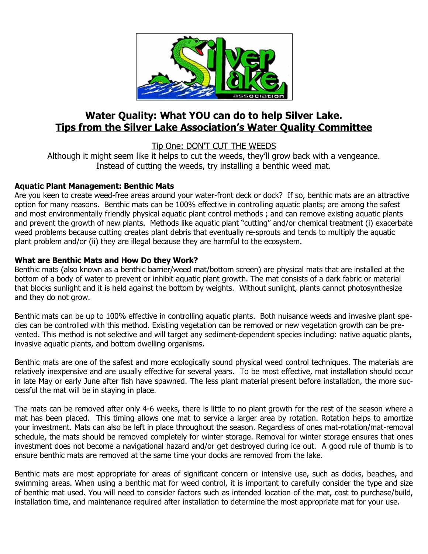

# **Water Quality: What YOU can do to help Silver Lake. Tips from the Silver Lake Association's Water Quality Committee**

Tip One: DON'T CUT THE WEEDS

Although it might seem like it helps to cut the weeds, they'll grow back with a vengeance. Instead of cutting the weeds, try installing a benthic weed mat.

# **Aquatic Plant Management: Benthic Mats**

Are you keen to create weed-free areas around your water-front deck or dock? If so, benthic mats are an attractive option for many reasons. Benthic mats can be 100% effective in controlling aquatic plants; are among the safest and most environmentally friendly physical aquatic plant control methods ; and can remove existing aquatic plants and prevent the growth of new plants. Methods like aquatic plant "cutting" and/or chemical treatment (i) exacerbate weed problems because cutting creates plant debris that eventually re-sprouts and tends to multiply the aquatic plant problem and/or (ii) they are illegal because they are harmful to the ecosystem.

# **What are Benthic Mats and How Do they Work?**

Benthic mats (also known as a benthic barrier/weed mat/bottom screen) are physical mats that are installed at the bottom of a body of water to prevent or inhibit aquatic plant growth. The mat consists of a dark fabric or material that blocks sunlight and it is held against the bottom by weights. Without sunlight, plants cannot photosynthesize and they do not grow.

Benthic mats can be up to 100% effective in controlling aquatic plants. Both nuisance weeds and invasive plant species can be controlled with this method. Existing vegetation can be removed or new vegetation growth can be prevented. This method is not selective and will target any sediment-dependent species including: native aquatic plants, invasive aquatic plants, and bottom dwelling organisms.

Benthic mats are one of the safest and more ecologically sound physical weed control techniques. The materials are relatively inexpensive and are usually effective for several years. To be most effective, mat installation should occur in late May or early June after fish have spawned. The less plant material present before installation, the more successful the mat will be in staying in place.

The mats can be removed after only 4-6 weeks, there is little to no plant growth for the rest of the season where a mat has been placed. This timing allows one mat to service a larger area by rotation. Rotation helps to amortize your investment. Mats can also be left in place throughout the season. Regardless of ones mat-rotation/mat-removal schedule, the mats should be removed completely for winter storage. Removal for winter storage ensures that ones investment does not become a navigational hazard and/or get destroyed during ice out. A good rule of thumb is to ensure benthic mats are removed at the same time your docks are removed from the lake.

Benthic mats are most appropriate for areas of significant concern or intensive use, such as docks, beaches, and swimming areas. When using a benthic mat for weed control, it is important to carefully consider the type and size of benthic mat used. You will need to consider factors such as intended location of the mat, cost to purchase/build, installation time, and maintenance required after installation to determine the most appropriate mat for your use.